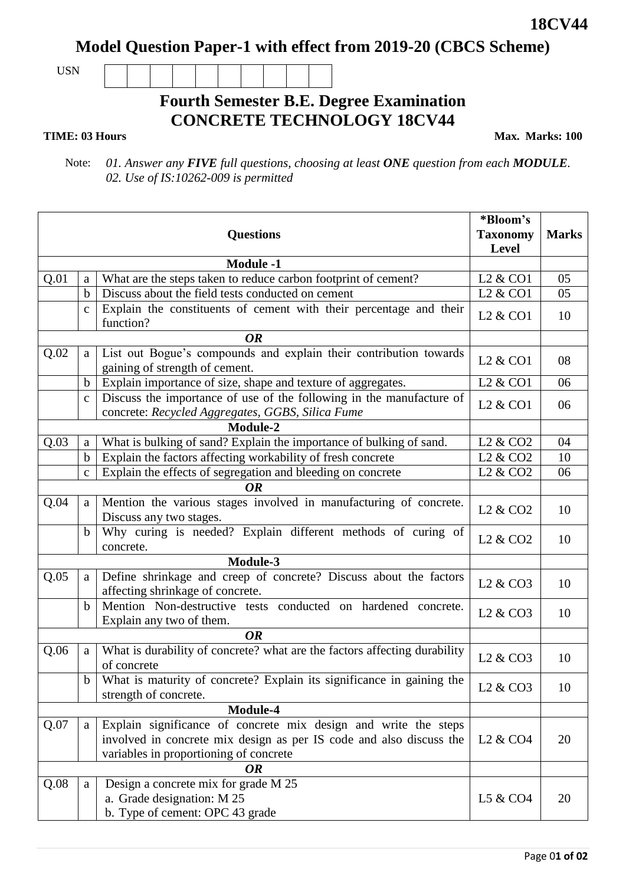**18CV44**

**Model Question Paper-1 with effect from 2019-20 (CBCS Scheme)**

USN

## **Fourth Semester B.E. Degree Examination CONCRETE TECHNOLOGY 18CV44**

## **TIME: 03 Hours**

**Max. Marks: 100**

 Note: *01. Answer any FIVE full questions, choosing at least ONE question from each MODULE. 02. Use of IS:10262-009 is permitted* 

| <b>Questions</b> |             |                                                                                                                          | *Bloom's<br><b>Taxonomy</b>      | <b>Marks</b> |  |
|------------------|-------------|--------------------------------------------------------------------------------------------------------------------------|----------------------------------|--------------|--|
|                  |             |                                                                                                                          | <b>Level</b>                     |              |  |
| <b>Module -1</b> |             |                                                                                                                          |                                  |              |  |
| Q.01             | a           | What are the steps taken to reduce carbon footprint of cement?                                                           | L <sub>2</sub> & CO <sub>1</sub> | 05           |  |
|                  | $\mathbf b$ | Discuss about the field tests conducted on cement                                                                        | L <sub>2</sub> & CO <sub>1</sub> | 05           |  |
|                  | $\mathbf c$ | Explain the constituents of cement with their percentage and their<br>function?                                          | L <sub>2</sub> & CO <sub>1</sub> | 10           |  |
|                  |             |                                                                                                                          |                                  |              |  |
| Q.02             | a           | List out Bogue's compounds and explain their contribution towards<br>gaining of strength of cement.                      | L <sub>2</sub> & CO <sub>1</sub> | 08           |  |
|                  | b           | Explain importance of size, shape and texture of aggregates.                                                             | L <sub>2</sub> & CO <sub>1</sub> | 06           |  |
|                  | $\mathbf C$ | Discuss the importance of use of the following in the manufacture of<br>concrete: Recycled Aggregates, GGBS, Silica Fume | L <sub>2</sub> & CO <sub>1</sub> | 06           |  |
| Module-2         |             |                                                                                                                          |                                  |              |  |
| Q.03             | a           | What is bulking of sand? Explain the importance of bulking of sand.                                                      | L <sub>2</sub> & CO <sub>2</sub> | 04           |  |
|                  | $\mathbf b$ | Explain the factors affecting workability of fresh concrete                                                              | L <sub>2</sub> & CO <sub>2</sub> | 10           |  |
|                  | $\mathbf C$ | Explain the effects of segregation and bleeding on concrete                                                              | L <sub>2</sub> & CO <sub>2</sub> | 06           |  |
| <b>OR</b>        |             |                                                                                                                          |                                  |              |  |
| Q.04             | a           | Mention the various stages involved in manufacturing of concrete.<br>Discuss any two stages.                             | L <sub>2</sub> & CO <sub>2</sub> | 10           |  |
|                  | $\mathbf b$ | Why curing is needed? Explain different methods of curing of<br>concrete.                                                | L <sub>2</sub> & CO <sub>2</sub> | 10           |  |
|                  |             |                                                                                                                          |                                  |              |  |
| Q.05             | a           | Define shrinkage and creep of concrete? Discuss about the factors<br>affecting shrinkage of concrete.                    | L <sub>2</sub> & CO <sub>3</sub> | 10           |  |
|                  | $\mathbf b$ | Mention Non-destructive tests conducted on hardened concrete.<br>Explain any two of them.                                | L <sub>2</sub> & CO <sub>3</sub> | 10           |  |
| <b>OR</b>        |             |                                                                                                                          |                                  |              |  |
| Q.06             | a           | What is durability of concrete? what are the factors affecting durability<br>of concrete                                 | L <sub>2</sub> & CO <sub>3</sub> | 10           |  |
|                  | $\mathbf b$ | What is maturity of concrete? Explain its significance in gaining the<br>strength of concrete.                           | L <sub>2</sub> & CO <sub>3</sub> | 10           |  |
|                  |             |                                                                                                                          |                                  |              |  |
| Q.07             | a           | Module-4<br>Explain significance of concrete mix design and write the steps                                              |                                  |              |  |
|                  |             | involved in concrete mix design as per IS code and also discuss the                                                      | L <sub>2</sub> & CO <sub>4</sub> | 20           |  |
|                  |             | variables in proportioning of concrete                                                                                   |                                  |              |  |
| OR               |             |                                                                                                                          |                                  |              |  |
| Q.08             | a           | Design a concrete mix for grade M 25<br>a. Grade designation: M 25<br>b. Type of cement: OPC 43 grade                    | L5 & CO4                         | 20           |  |